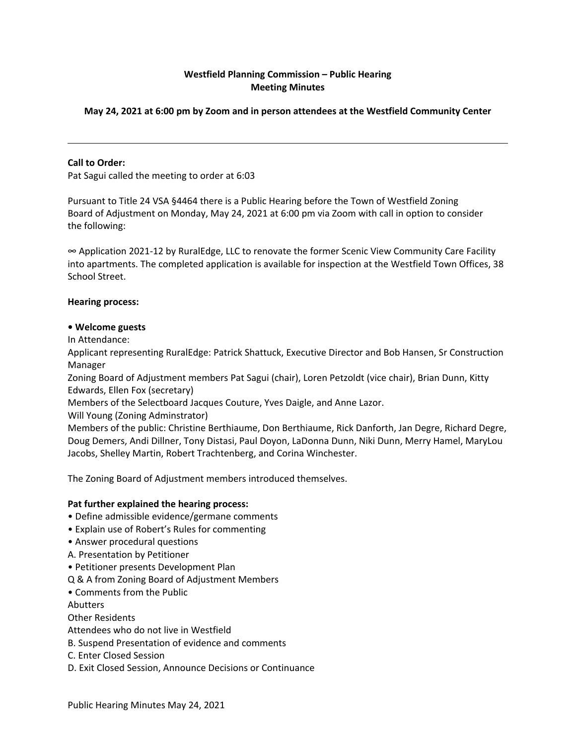# **Westfield Planning Commission – Public Hearing Meeting Minutes**

# **May 24, 2021 at 6:00 pm by Zoom and in person attendees at the Westfield Community Center**

### **Call to Order:**

Pat Sagui called the meeting to order at 6:03

Pursuant to Title 24 VSA §4464 there is a Public Hearing before the Town of Westfield Zoning Board of Adjustment on Monday, May 24, 2021 at 6:00 pm via Zoom with call in option to consider the following:

∞ Application 2021-12 by RuralEdge, LLC to renovate the former Scenic View Community Care Facility into apartments. The completed application is available for inspection at the Westfield Town Offices, 38 School Street.

### **Hearing process:**

#### **• Welcome guests**

In Attendance:

Applicant representing RuralEdge: Patrick Shattuck, Executive Director and Bob Hansen, Sr Construction Manager

Zoning Board of Adjustment members Pat Sagui (chair), Loren Petzoldt (vice chair), Brian Dunn, Kitty Edwards, Ellen Fox (secretary)

Members of the Selectboard Jacques Couture, Yves Daigle, and Anne Lazor.

Will Young (Zoning Adminstrator)

Members of the public: Christine Berthiaume, Don Berthiaume, Rick Danforth, Jan Degre, Richard Degre, Doug Demers, Andi Dillner, Tony Distasi, Paul Doyon, LaDonna Dunn, Niki Dunn, Merry Hamel, MaryLou Jacobs, Shelley Martin, Robert Trachtenberg, and Corina Winchester.

The Zoning Board of Adjustment members introduced themselves.

#### **Pat further explained the hearing process:**

- Define admissible evidence/germane comments
- Explain use of Robert's Rules for commenting
- Answer procedural questions
- A. Presentation by Petitioner
- Petitioner presents Development Plan
- Q & A from Zoning Board of Adjustment Members
- Comments from the Public

Abutters

Other Residents

Attendees who do not live in Westfield

B. Suspend Presentation of evidence and comments

C. Enter Closed Session

D. Exit Closed Session, Announce Decisions or Continuance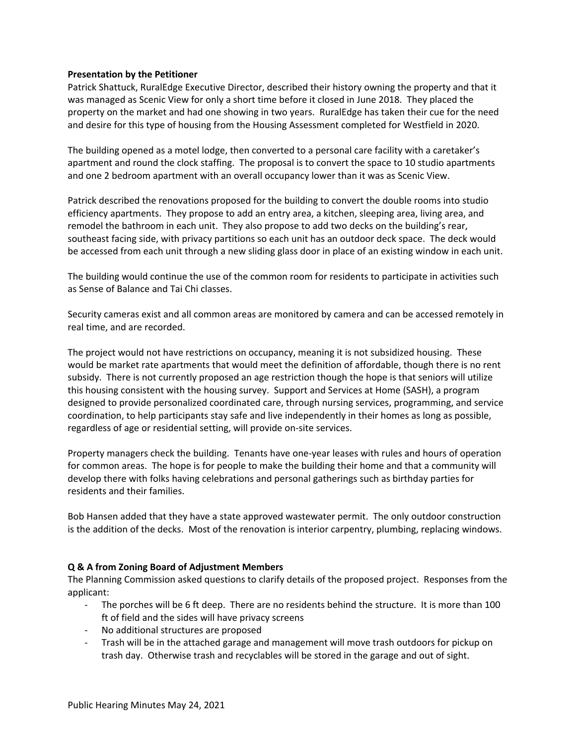### **Presentation by the Petitioner**

Patrick Shattuck, RuralEdge Executive Director, described their history owning the property and that it was managed as Scenic View for only a short time before it closed in June 2018. They placed the property on the market and had one showing in two years. RuralEdge has taken their cue for the need and desire for this type of housing from the Housing Assessment completed for Westfield in 2020.

The building opened as a motel lodge, then converted to a personal care facility with a caretaker's apartment and round the clock staffing. The proposal is to convert the space to 10 studio apartments and one 2 bedroom apartment with an overall occupancy lower than it was as Scenic View.

Patrick described the renovations proposed for the building to convert the double rooms into studio efficiency apartments. They propose to add an entry area, a kitchen, sleeping area, living area, and remodel the bathroom in each unit. They also propose to add two decks on the building's rear, southeast facing side, with privacy partitions so each unit has an outdoor deck space. The deck would be accessed from each unit through a new sliding glass door in place of an existing window in each unit.

The building would continue the use of the common room for residents to participate in activities such as Sense of Balance and Tai Chi classes.

Security cameras exist and all common areas are monitored by camera and can be accessed remotely in real time, and are recorded.

The project would not have restrictions on occupancy, meaning it is not subsidized housing. These would be market rate apartments that would meet the definition of affordable, though there is no rent subsidy. There is not currently proposed an age restriction though the hope is that seniors will utilize this housing consistent with the housing survey. Support and Services at Home (SASH), a program designed to provide personalized coordinated care, through nursing services, programming, and service coordination, to help participants stay safe and live independently in their homes as long as possible, regardless of age or residential setting, will provide on-site services.

Property managers check the building. Tenants have one-year leases with rules and hours of operation for common areas. The hope is for people to make the building their home and that a community will develop there with folks having celebrations and personal gatherings such as birthday parties for residents and their families.

Bob Hansen added that they have a state approved wastewater permit. The only outdoor construction is the addition of the decks. Most of the renovation is interior carpentry, plumbing, replacing windows.

## **Q & A from Zoning Board of Adjustment Members**

The Planning Commission asked questions to clarify details of the proposed project. Responses from the applicant:

- The porches will be 6 ft deep. There are no residents behind the structure. It is more than 100 ft of field and the sides will have privacy screens
- No additional structures are proposed
- Trash will be in the attached garage and management will move trash outdoors for pickup on trash day. Otherwise trash and recyclables will be stored in the garage and out of sight.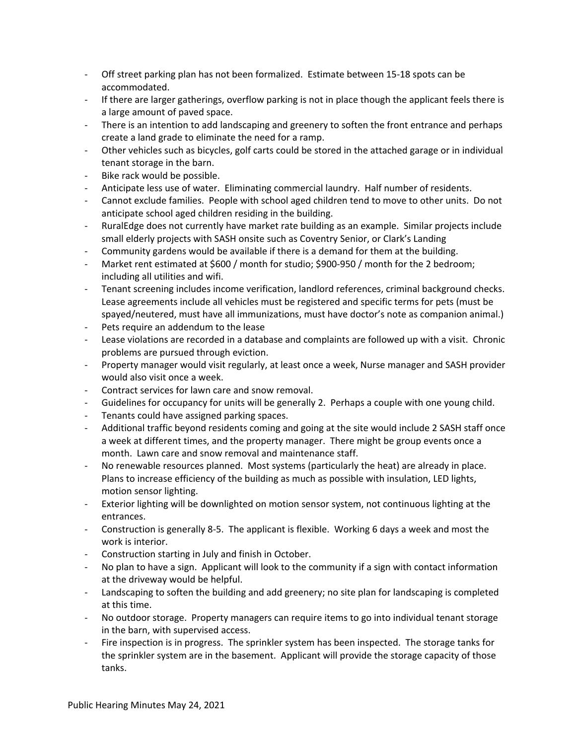- Off street parking plan has not been formalized. Estimate between 15-18 spots can be
- accommodated.<br>- If there are larger gatherings, overflow parking is not in place though the applicant feels there is
- a large amount of paved space.<br>- There is an intention to add landscaping and greenery to soften the front entrance and perhaps
- create a land grade to eliminate the need for a ramp.<br>- Other vehicles such as bicycles, golf carts could be stored in the attached garage or in individual tenant storage in the barn.
- Bike rack would be possible.
- Anticipate less use of water. Eliminating commercial laundry. Half number of residents.
- Cannot exclude families. People with school aged children tend to move to other units. Do not anticipate school aged children residing in the building.
- RuralEdge does not currently have market rate building as an example. Similar projects include small elderly projects with SASH onsite such as Coventry Senior, or Clark's Landing
- 
- Community gardens would be available if there is a demand for them at the building.<br>Market rent estimated at \$600 / month for studio; \$900-950 / month for the 2 bedroom; including all utilities and wifi.
- Tenant screening includes income verification, landlord references, criminal background checks. Lease agreements include all vehicles must be registered and specific terms for pets (must be spayed/neutered, must have all immunizations, must have doctor's note as companion animal.) - Pets require an addendum to the lease
- 
- Lease violations are recorded in a database and complaints are followed up with a visit. Chronic problems are pursued through eviction. - Property manager would visit regularly, at least once a week, Nurse manager and SASH provider
- would also visit once a week.
- Contract services for lawn care and snow removal.
- Guidelines for occupancy for units will be generally 2. Perhaps a couple with one young child.
- Tenants could have assigned parking spaces.
- Additional traffic beyond residents coming and going at the site would include 2 SASH staff once a week at different times, and the property manager. There might be group events once a month. Lawn care and snow removal and maintenance staff.
- No renewable resources planned. Most systems (particularly the heat) are already in place. Plans to increase efficiency of the building as much as possible with insulation, LED lights, motion sensor lighting.
- Exterior lighting will be downlighted on motion sensor system, not continuous lighting at the entrances.
- Construction is generally 8-5. The applicant is flexible. Working 6 days a week and most the work is interior.
- Construction starting in July and finish in October.
- No plan to have a sign. Applicant will look to the community if a sign with contact information at the driveway would be helpful.
- Landscaping to soften the building and add greenery; no site plan for landscaping is completed at this time.
- No outdoor storage. Property managers can require items to go into individual tenant storage in the barn, with supervised access.<br>Fire inspection is in progress. The sprinkler system has been inspected. The storage tanks for
- the sprinkler system are in the basement. Applicant will provide the storage capacity of those tanks.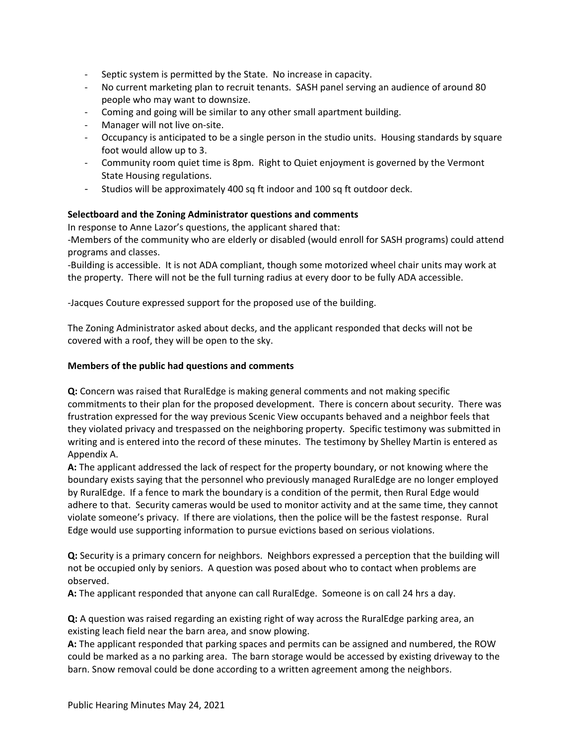- Septic system is permitted by the State. No increase in capacity.
- No current marketing plan to recruit tenants. SASH panel serving an audience of around 80 people who may want to downsize.
- Coming and going will be similar to any other small apartment building.
- Manager will not live on-site.
- Occupancy is anticipated to be a single person in the studio units. Housing standards by square foot would allow up to 3.<br>- Community room quiet time is 8pm. Right to Quiet enjoyment is governed by the Vermont
- State Housing regulations.
- Studios will be approximately 400 sq ft indoor and 100 sq ft outdoor deck.

# **Selectboard and the Zoning Administrator questions and comments**

In response to Anne Lazor's questions, the applicant shared that:

-Members of the community who are elderly or disabled (would enroll for SASH programs) could attend programs and classes.

-Building is accessible. It is not ADA compliant, though some motorized wheel chair units may work at the property. There will not be the full turning radius at every door to be fully ADA accessible.

-Jacques Couture expressed support for the proposed use of the building.

The Zoning Administrator asked about decks, and the applicant responded that decks will not be covered with a roof, they will be open to the sky.

## **Members of the public had questions and comments**

**Q:** Concern was raised that RuralEdge is making general comments and not making specific commitments to their plan for the proposed development. There is concern about security. There was frustration expressed for the way previous Scenic View occupants behaved and a neighbor feels that they violated privacy and trespassed on the neighboring property. Specific testimony was submitted in writing and is entered into the record of these minutes. The testimony by Shelley Martin is entered as Appendix A.

**A:** The applicant addressed the lack of respect for the property boundary, or not knowing where the boundary exists saying that the personnel who previously managed RuralEdge are no longer employed by RuralEdge. If a fence to mark the boundary is a condition of the permit, then Rural Edge would adhere to that. Security cameras would be used to monitor activity and at the same time, they cannot violate someone's privacy. If there are violations, then the police will be the fastest response. Rural Edge would use supporting information to pursue evictions based on serious violations.

**Q:** Security is a primary concern for neighbors. Neighbors expressed a perception that the building will not be occupied only by seniors. A question was posed about who to contact when problems are observed.

**A:** The applicant responded that anyone can call RuralEdge. Someone is on call 24 hrs a day.

**Q:** A question was raised regarding an existing right of way across the RuralEdge parking area, an existing leach field near the barn area, and snow plowing.

**A:** The applicant responded that parking spaces and permits can be assigned and numbered, the ROW could be marked as a no parking area. The barn storage would be accessed by existing driveway to the barn. Snow removal could be done according to a written agreement among the neighbors.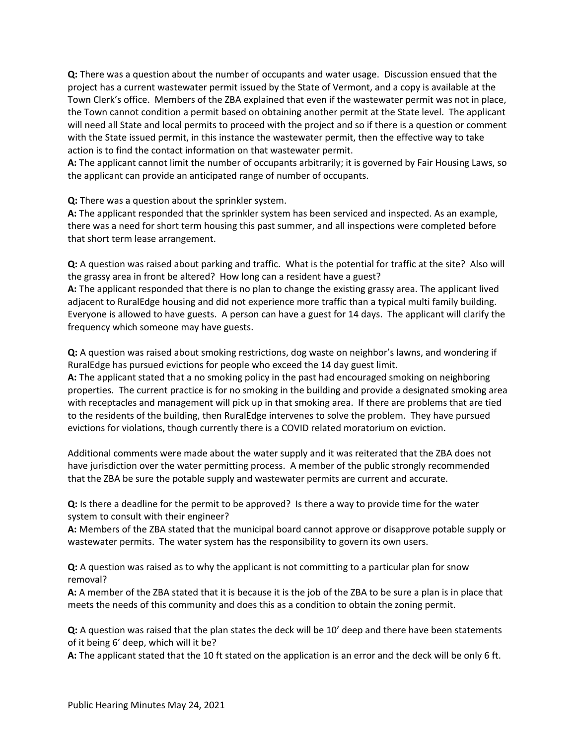**Q:** There was a question about the number of occupants and water usage. Discussion ensued that the project has a current wastewater permit issued by the State of Vermont, and a copy is available at the Town Clerk's office. Members of the ZBA explained that even if the wastewater permit was not in place, the Town cannot condition a permit based on obtaining another permit at the State level. The applicant will need all State and local permits to proceed with the project and so if there is a question or comment with the State issued permit, in this instance the wastewater permit, then the effective way to take action is to find the contact information on that wastewater permit.

**A:** The applicant cannot limit the number of occupants arbitrarily; it is governed by Fair Housing Laws, so the applicant can provide an anticipated range of number of occupants.

**Q:** There was a question about the sprinkler system.

**A:** The applicant responded that the sprinkler system has been serviced and inspected. As an example, there was a need for short term housing this past summer, and all inspections were completed before that short term lease arrangement.

**Q:** A question was raised about parking and traffic. What is the potential for traffic at the site? Also will the grassy area in front be altered? How long can a resident have a guest?

**A:** The applicant responded that there is no plan to change the existing grassy area. The applicant lived adjacent to RuralEdge housing and did not experience more traffic than a typical multi family building. Everyone is allowed to have guests. A person can have a guest for 14 days. The applicant will clarify the frequency which someone may have guests.

**Q:** A question was raised about smoking restrictions, dog waste on neighbor's lawns, and wondering if RuralEdge has pursued evictions for people who exceed the 14 day guest limit.

**A:** The applicant stated that a no smoking policy in the past had encouraged smoking on neighboring properties. The current practice is for no smoking in the building and provide a designated smoking area with receptacles and management will pick up in that smoking area. If there are problems that are tied to the residents of the building, then RuralEdge intervenes to solve the problem. They have pursued evictions for violations, though currently there is a COVID related moratorium on eviction.

Additional comments were made about the water supply and it was reiterated that the ZBA does not have jurisdiction over the water permitting process. A member of the public strongly recommended that the ZBA be sure the potable supply and wastewater permits are current and accurate.

**Q:** Is there a deadline for the permit to be approved? Is there a way to provide time for the water system to consult with their engineer?

**A:** Members of the ZBA stated that the municipal board cannot approve or disapprove potable supply or wastewater permits. The water system has the responsibility to govern its own users.

**Q:** A question was raised as to why the applicant is not committing to a particular plan for snow removal?

**A:** A member of the ZBA stated that it is because it is the job of the ZBA to be sure a plan is in place that meets the needs of this community and does this as a condition to obtain the zoning permit.

**Q:** A question was raised that the plan states the deck will be 10' deep and there have been statements of it being 6' deep, which will it be?

**A:** The applicant stated that the 10 ft stated on the application is an error and the deck will be only 6 ft.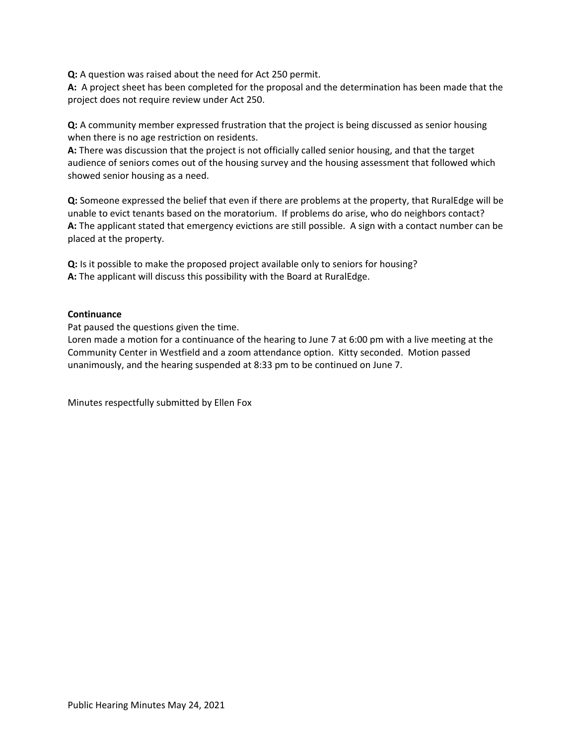**Q:** A question was raised about the need for Act 250 permit.

**A:** A project sheet has been completed for the proposal and the determination has been made that the project does not require review under Act 250.

**Q:** A community member expressed frustration that the project is being discussed as senior housing when there is no age restriction on residents.

**A:** There was discussion that the project is not officially called senior housing, and that the target audience of seniors comes out of the housing survey and the housing assessment that followed which showed senior housing as a need.

**Q:** Someone expressed the belief that even if there are problems at the property, that RuralEdge will be unable to evict tenants based on the moratorium. If problems do arise, who do neighbors contact? **A:** The applicant stated that emergency evictions are still possible. A sign with a contact number can be placed at the property.

**Q:** Is it possible to make the proposed project available only to seniors for housing? **A:** The applicant will discuss this possibility with the Board at RuralEdge.

### **Continuance**

Pat paused the questions given the time.

Loren made a motion for a continuance of the hearing to June 7 at 6:00 pm with a live meeting at the Community Center in Westfield and a zoom attendance option. Kitty seconded. Motion passed unanimously, and the hearing suspended at 8:33 pm to be continued on June 7.

Minutes respectfully submitted by Ellen Fox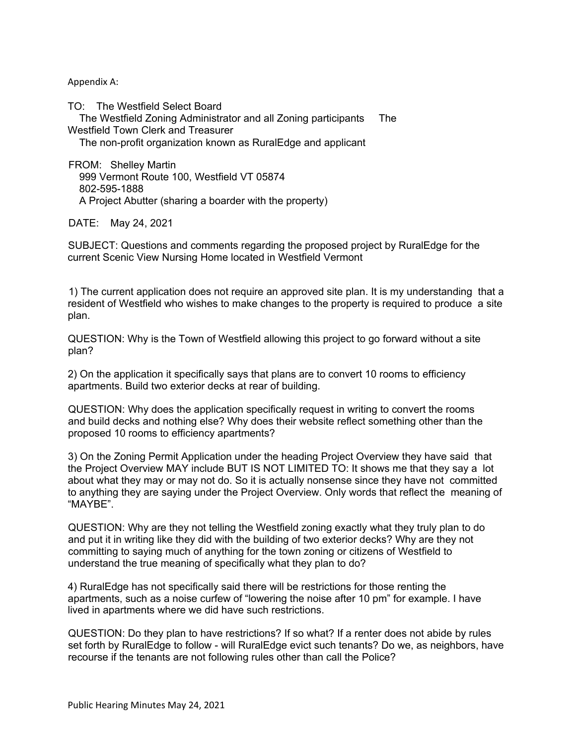Appendix A:

TO: The Westfield Select Board The Westfield Zoning Administrator and all Zoning participants The Westfield Town Clerk and Treasurer

The non-profit organization known as RuralEdge and applicant

FROM: Shelley Martin 999 Vermont Route 100, Westfield VT 05874 802-595-1888 A Project Abutter (sharing a boarder with the property)

DATE: May 24, 2021

SUBJECT: Questions and comments regarding the proposed project by RuralEdge for the current Scenic View Nursing Home located in Westfield Vermont

1) The current application does not require an approved site plan. It is my understanding that a resident of Westfield who wishes to make changes to the property is required to produce a site plan.

QUESTION: Why is the Town of Westfield allowing this project to go forward without a site plan?

2) On the application it specifically says that plans are to convert 10 rooms to efficiency apartments. Build two exterior decks at rear of building.

QUESTION: Why does the application specifically request in writing to convert the rooms and build decks and nothing else? Why does their website reflect something other than the proposed 10 rooms to efficiency apartments?

3) On the Zoning Permit Application under the heading Project Overview they have said that the Project Overview MAY include BUT IS NOT LIMITED TO: It shows me that they say a lot about what they may or may not do. So it is actually nonsense since they have not committed to anything they are saying under the Project Overview. Only words that reflect the meaning of "MAYBE".

QUESTION: Why are they not telling the Westfield zoning exactly what they truly plan to do and put it in writing like they did with the building of two exterior decks? Why are they not committing to saying much of anything for the town zoning or citizens of Westfield to understand the true meaning of specifically what they plan to do?

4) RuralEdge has not specifically said there will be restrictions for those renting the apartments, such as a noise curfew of "lowering the noise after 10 pm" for example. I have lived in apartments where we did have such restrictions.

QUESTION: Do they plan to have restrictions? If so what? If a renter does not abide by rules set forth by RuralEdge to follow - will RuralEdge evict such tenants? Do we, as neighbors, have recourse if the tenants are not following rules other than call the Police?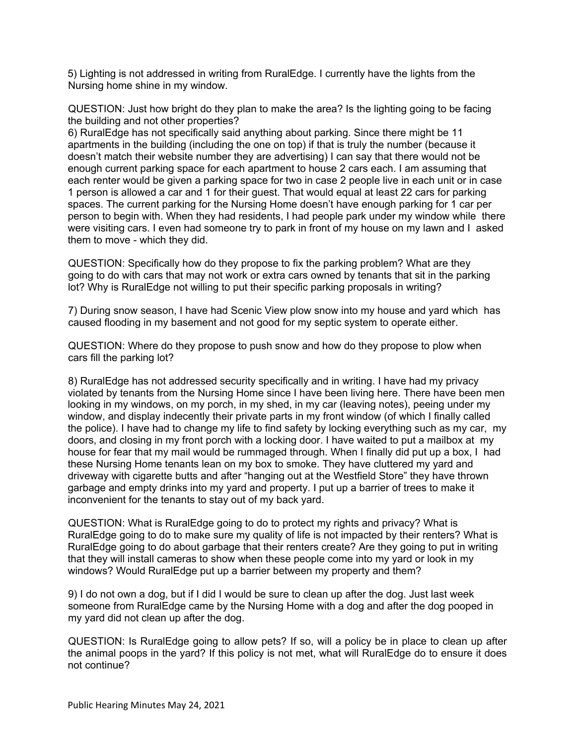5) Lighting is not addressed in writing from RuralEdge. I currently have the lights from the Nursing home shine in my window.

QUESTION: Just how bright do they plan to make the area? Is the lighting going to be facing the building and not other properties?

6) RuralEdge has not specifically said anything about parking. Since there might be 11 apartments in the building (including the one on top) if that is truly the number (because it doesn't match their website number they are advertising) I can say that there would not be enough current parking space for each apartment to house 2 cars each. I am assuming that each renter would be given a parking space for two in case 2 people live in each unit or in case 1 person is allowed a car and 1 for their guest. That would equal at least 22 cars for parking spaces. The current parking for the Nursing Home doesn't have enough parking for 1 car per person to begin with. When they had residents, I had people park under my window while there were visiting cars. I even had someone try to park in front of my house on my lawn and I asked them to move - which they did.

QUESTION: Specifically how do they propose to fix the parking problem? What are they going to do with cars that may not work or extra cars owned by tenants that sit in the parking lot? Why is RuralEdge not willing to put their specific parking proposals in writing?

7) During snow season, I have had Scenic View plow snow into my house and yard which has caused flooding in my basement and not good for my septic system to operate either.

QUESTION: Where do they propose to push snow and how do they propose to plow when cars fill the parking lot?

8) RuralEdge has not addressed security specifically and in writing. I have had my privacy violated by tenants from the Nursing Home since I have been living here. There have been men looking in my windows, on my porch, in my shed, in my car (leaving notes), peeing under my window, and display indecently their private parts in my front window (of which I finally called the police). I have had to change my life to find safety by locking everything such as my car, my doors, and closing in my front porch with a locking door. I have waited to put a mailbox at my house for fear that my mail would be rummaged through. When I finally did put up a box, I had these Nursing Home tenants lean on my box to smoke. They have cluttered my yard and driveway with cigarette butts and after "hanging out at the Westfield Store" they have thrown garbage and empty drinks into my yard and property. I put up a barrier of trees to make it inconvenient for the tenants to stay out of my back yard.

QUESTION: What is RuralEdge going to do to protect my rights and privacy? What is RuralEdge going to do to make sure my quality of life is not impacted by their renters? What is RuralEdge going to do about garbage that their renters create? Are they going to put in writing that they will install cameras to show when these people come into my yard or look in my windows? Would RuralEdge put up a barrier between my property and them?

9) I do not own a dog, but if I did I would be sure to clean up after the dog. Just last week someone from RuralEdge came by the Nursing Home with a dog and after the dog pooped in my yard did not clean up after the dog.

QUESTION: Is RuralEdge going to allow pets? If so, will a policy be in place to clean up after the animal poops in the yard? If this policy is not met, what will RuralEdge do to ensure it does not continue?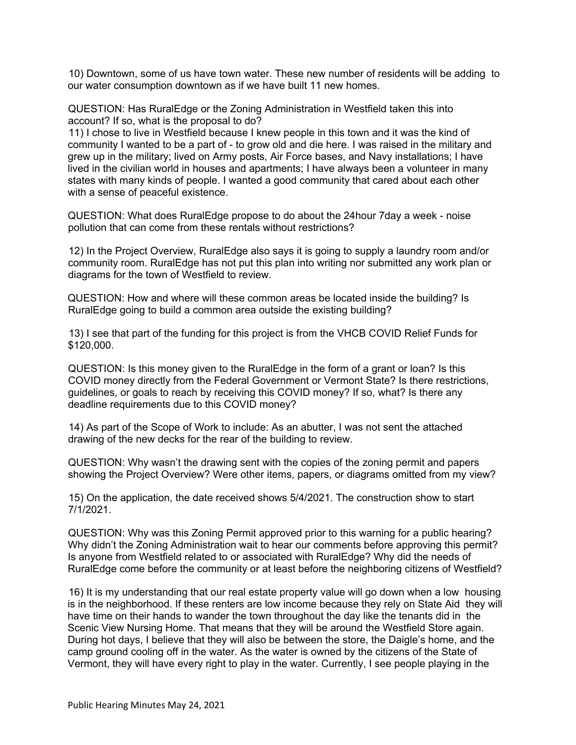10) Downtown, some of us have town water. These new number of residents will be adding to our water consumption downtown as if we have built 11 new homes.

QUESTION: Has RuralEdge or the Zoning Administration in Westfield taken this into account? If so, what is the proposal to do?

11) I chose to live in Westfield because I knew people in this town and it was the kind of community I wanted to be a part of - to grow old and die here. I was raised in the military and grew up in the military; lived on Army posts, Air Force bases, and Navy installations; I have lived in the civilian world in houses and apartments; I have always been a volunteer in many states with many kinds of people. I wanted a good community that cared about each other with a sense of peaceful existence.

QUESTION: What does RuralEdge propose to do about the 24hour 7day a week - noise pollution that can come from these rentals without restrictions?

12) In the Project Overview, RuralEdge also says it is going to supply a laundry room and/or community room. RuralEdge has not put this plan into writing nor submitted any work plan or diagrams for the town of Westfield to review.

QUESTION: How and where will these common areas be located inside the building? Is RuralEdge going to build a common area outside the existing building?

13) I see that part of the funding for this project is from the VHCB COVID Relief Funds for \$120,000.

QUESTION: Is this money given to the RuralEdge in the form of a grant or loan? Is this COVID money directly from the Federal Government or Vermont State? Is there restrictions, guidelines, or goals to reach by receiving this COVID money? If so, what? Is there any deadline requirements due to this COVID money?

14) As part of the Scope of Work to include: As an abutter, I was not sent the attached drawing of the new decks for the rear of the building to review.

QUESTION: Why wasn't the drawing sent with the copies of the zoning permit and papers showing the Project Overview? Were other items, papers, or diagrams omitted from my view?

15) On the application, the date received shows 5/4/2021. The construction show to start 7/1/2021.

QUESTION: Why was this Zoning Permit approved prior to this warning for a public hearing? Why didn't the Zoning Administration wait to hear our comments before approving this permit? Is anyone from Westfield related to or associated with RuralEdge? Why did the needs of RuralEdge come before the community or at least before the neighboring citizens of Westfield?

16) It is my understanding that our real estate property value will go down when a low housing is in the neighborhood. If these renters are low income because they rely on State Aid they will have time on their hands to wander the town throughout the day like the tenants did in the Scenic View Nursing Home. That means that they will be around the Westfield Store again. During hot days, I believe that they will also be between the store, the Daigle's home, and the camp ground cooling off in the water. As the water is owned by the citizens of the State of Vermont, they will have every right to play in the water. Currently, I see people playing in the